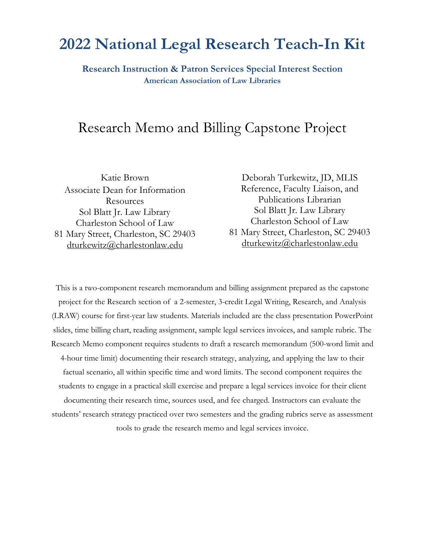### **2022 National Legal Research Teach-In Kit**

**Research Instruction & Patron Services Special Interest Section American Association of Law Libraries**

### Research Memo and Billing Capstone Project

Katie Brown Associate Dean for Information Resources [Sol Blatt Jr. Law Library](https://nam10.safelinks.protection.outlook.com/?url=http%3A%2F%2Fcharlestonlaw.edu%2Fsol-blatt-jr-law-library%2F&data=05%7C01%7Cakrenelk%40law.stetson.edu%7C583ac720fccd40daed1a08da2ecc4911%7C7d854659421348c180cadf7831c02e6d%7C0%7C0%7C637873753161686002%7CUnknown%7CTWFpbGZsb3d8eyJWIjoiMC4wLjAwMDAiLCJQIjoiV2luMzIiLCJBTiI6Ik1haWwiLCJXVCI6Mn0%3D%7C1000%7C%7C%7C&sdata=cTkfBDKHE4NlK33ai0oOenVvYNBIpdcHoEApYhV%2BOII%3D&reserved=0) [Charleston School of Law](https://nam10.safelinks.protection.outlook.com/?url=http%3A%2F%2Fcharlestonlaw.edu%2F&data=05%7C01%7Cakrenelk%40law.stetson.edu%7C583ac720fccd40daed1a08da2ecc4911%7C7d854659421348c180cadf7831c02e6d%7C0%7C0%7C637873753161686002%7CUnknown%7CTWFpbGZsb3d8eyJWIjoiMC4wLjAwMDAiLCJQIjoiV2luMzIiLCJBTiI6Ik1haWwiLCJXVCI6Mn0%3D%7C1000%7C%7C%7C&sdata=3virsbognlusnTvJfWZKFqixIWVkHoZ5hBbofwqfBdc%3D&reserved=0) 81 Mary Street, Charleston, SC 29403 [dturkewitz@charlestonlaw.edu](mailto:dturkewitz@charlestonlaw.edu)

Deborah Turkewitz, JD, MLIS Reference, Faculty Liaison, and Publications Librarian [Sol Blatt Jr. Law Library](https://nam10.safelinks.protection.outlook.com/?url=http%3A%2F%2Fcharlestonlaw.edu%2Fsol-blatt-jr-law-library%2F&data=05%7C01%7Cakrenelk%40law.stetson.edu%7C583ac720fccd40daed1a08da2ecc4911%7C7d854659421348c180cadf7831c02e6d%7C0%7C0%7C637873753161686002%7CUnknown%7CTWFpbGZsb3d8eyJWIjoiMC4wLjAwMDAiLCJQIjoiV2luMzIiLCJBTiI6Ik1haWwiLCJXVCI6Mn0%3D%7C1000%7C%7C%7C&sdata=cTkfBDKHE4NlK33ai0oOenVvYNBIpdcHoEApYhV%2BOII%3D&reserved=0) [Charleston School of Law](https://nam10.safelinks.protection.outlook.com/?url=http%3A%2F%2Fcharlestonlaw.edu%2F&data=05%7C01%7Cakrenelk%40law.stetson.edu%7C583ac720fccd40daed1a08da2ecc4911%7C7d854659421348c180cadf7831c02e6d%7C0%7C0%7C637873753161686002%7CUnknown%7CTWFpbGZsb3d8eyJWIjoiMC4wLjAwMDAiLCJQIjoiV2luMzIiLCJBTiI6Ik1haWwiLCJXVCI6Mn0%3D%7C1000%7C%7C%7C&sdata=3virsbognlusnTvJfWZKFqixIWVkHoZ5hBbofwqfBdc%3D&reserved=0) 81 Mary Street, Charleston, SC 29403 [dturkewitz@charlestonlaw.edu](mailto:dturkewitz@charlestonlaw.edu)

This is a two-component research memorandum and billing assignment prepared as the capstone project for the Research section of a 2-semester, 3-credit Legal Writing, Research, and Analysis (LRAW) course for first-year law students. Materials included are the class presentation PowerPoint slides, time billing chart, reading assignment, sample legal services invoices, and sample rubric. The Research Memo component requires students to draft a research memorandum (500-word limit and 4-hour time limit) documenting their research strategy, analyzing, and applying the law to their factual scenario, all within specific time and word limits. The second component requires the students to engage in a practical skill exercise and prepare a legal services invoice for their client documenting their research time, sources used, and fee charged. Instructors can evaluate the students' research strategy practiced over two semesters and the grading rubrics serve as assessment tools to grade the research memo and legal services invoice.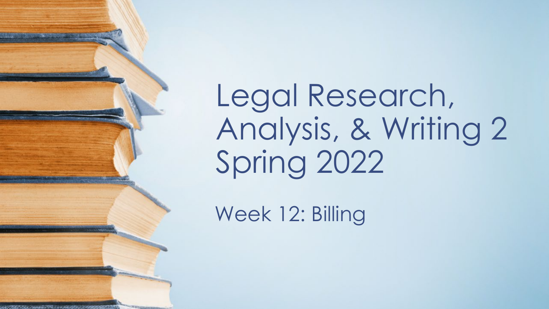Legal Research, Analysis, & Writing 2 Spring 2022

Week 12: Billing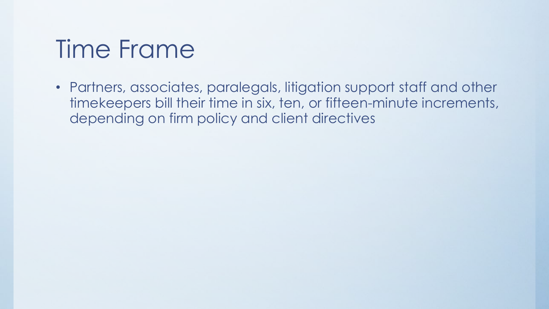### Time Frame

• Partners, associates, paralegals, litigation support staff and other timekeepers bill their time in six, ten, or fifteen-minute increments, depending on firm policy and client directives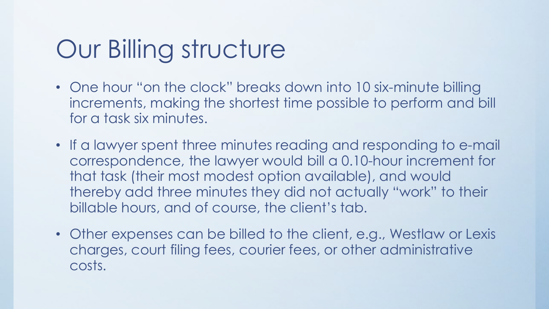### Our Billing structure

- One hour "on the clock" breaks down into 10 six-minute billing increments, making the shortest time possible to perform and bill for a task six minutes.
- If a lawyer spent three minutes reading and responding to e-mail correspondence, the lawyer would bill a 0.10-hour increment for that task (their most modest option available), and would thereby add three minutes they did not actually "work" to their billable hours, and of course, the client's tab.
- Other expenses can be billed to the client, e.g., Westlaw or Lexis charges, court filing fees, courier fees, or other administrative costs.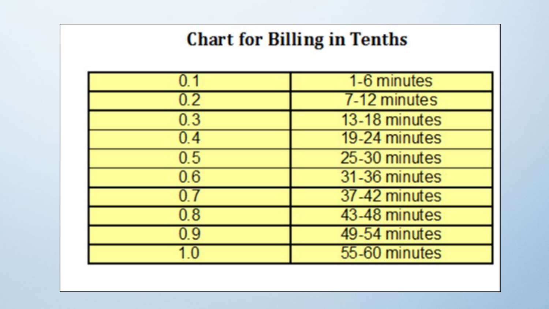### **Chart for Billing in Tenths**

|         | 1-6 minutes   |
|---------|---------------|
| 0.2     | 7-12 minutes  |
| 0.3     | 13-18 minutes |
| 0.4     | 19-24 minutes |
| 0.5     | 25-30 minutes |
| 0.6     | 31-36 minutes |
|         | 37-42 minutes |
| $0.8\,$ | 43-48 minutes |
| 0.9     | 49-54 minutes |
|         | 55-60 minutes |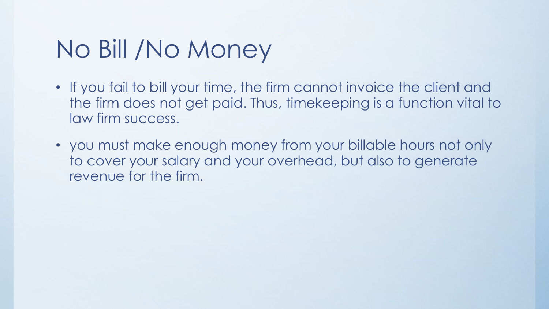### No Bill /No Money

- If you fail to bill your time, the firm cannot invoice the client and the firm does not get paid. Thus, timekeeping is a function vital to law firm success.
- you must make enough money from your billable hours not only to cover your salary and your overhead, but also to generate revenue for the firm.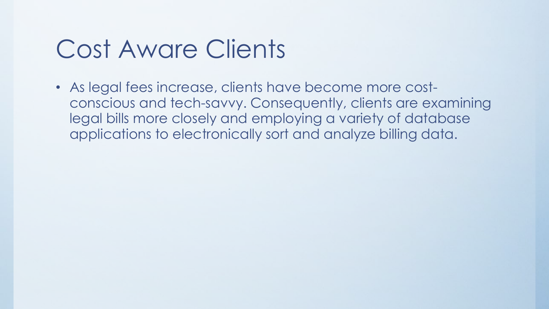### Cost Aware Clients

• As legal fees increase, clients have become more costconscious and tech-savvy. Consequently, clients are examining legal bills more closely and employing a variety of database applications to electronically sort and analyze billing data.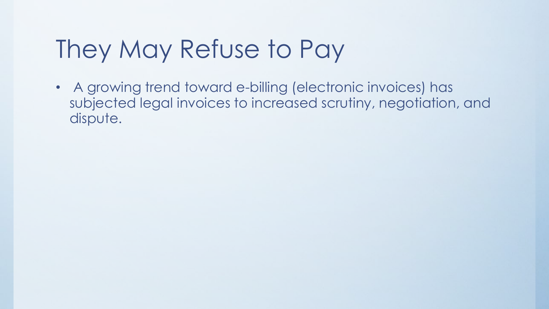## They May Refuse to Pay

• A growing trend toward e-billing (electronic invoices) has subjected legal invoices to increased scrutiny, negotiation, and dispute.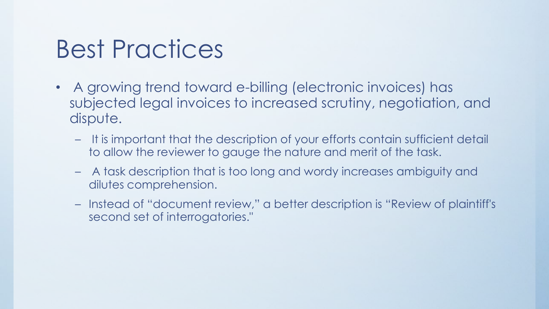### Best Practices

- A growing trend toward e-billing (electronic invoices) has subjected legal invoices to increased scrutiny, negotiation, and dispute.
	- It is important that the description of your efforts contain sufficient detail to allow the reviewer to gauge the nature and merit of the task.
	- A task description that is too long and wordy increases ambiguity and dilutes comprehension.
	- Instead of "document review," a better description is "Review of plaintiff's second set of interrogatories."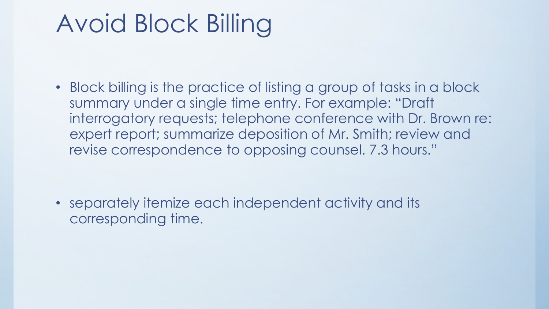# Avoid Block Billing

• Block billing is the practice of listing a group of tasks in a block summary under a single time entry. For example: "Draft interrogatory requests; telephone conference with Dr. Brown re: expert report; summarize deposition of Mr. Smith; review and revise correspondence to opposing counsel. 7.3 hours."

• separately itemize each independent activity and its corresponding time.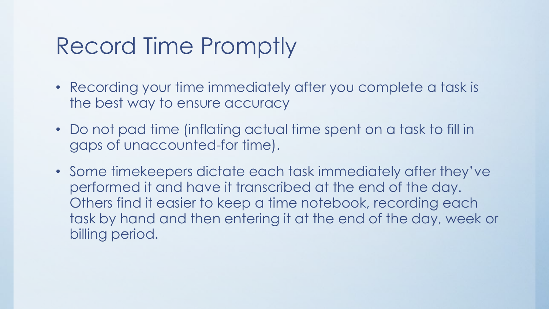### Record Time Promptly

- Recording your time immediately after you complete a task is the best way to ensure accuracy
- Do not pad time (inflating actual time spent on a task to fill in gaps of unaccounted-for time).
- Some timekeepers dictate each task immediately after they've performed it and have it transcribed at the end of the day. Others find it easier to keep a time notebook, recording each task by hand and then entering it at the end of the day, week or billing period.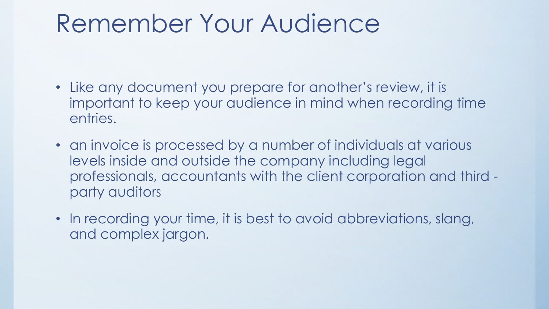### Remember Your Audience

- Like any document you prepare for another's review, it is important to keep your audience in mind when recording time entries.
- an invoice is processed by a number of individuals at various levels inside and outside the company including legal professionals, accountants with the client corporation and third party auditors
- In recording your time, it is best to avoid abbreviations, slang, and complex jargon.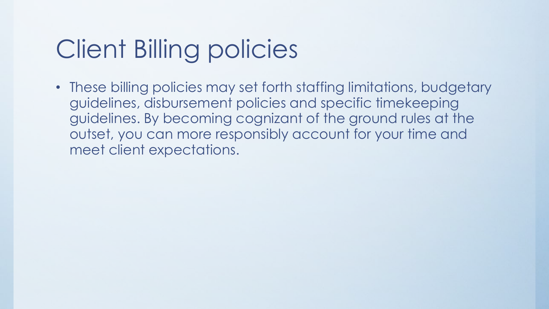# Client Billing policies

• These billing policies may set forth staffing limitations, budgetary guidelines, disbursement policies and specific timekeeping guidelines. By becoming cognizant of the ground rules at the outset, you can more responsibly account for your time and meet client expectations.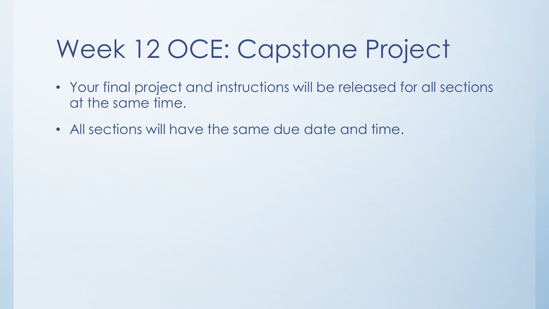## Week 12 OCE: Capstone Project

- Your final project and instructions will be released for all sections at the same time.
- All sections will have the same due date and time.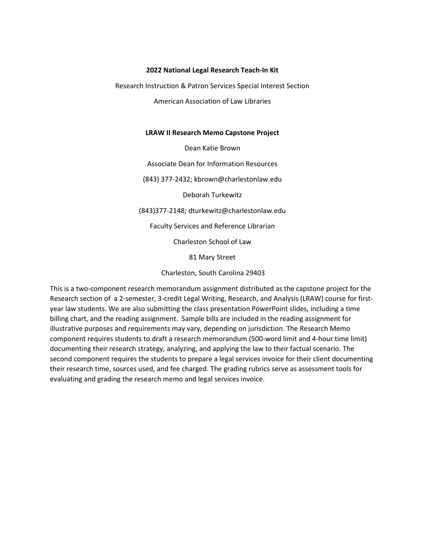#### **2022 National Legal Research Teach-In Kit**

Research Instruction & Patron Services Special Interest Section

American Association of Law Libraries

#### **LRAW II Research Memo Capstone Project**

Dean Katie Brown

Associate Dean for Information Resources

(843) 377-2432; kbrown@charlestonlaw.edu

Deborah Turkewitz

(843)377-2148; dturkewitz@charlestonlaw.edu

Faculty Services and Reference Librarian

Charleston School of Law

81 Mary Street

Charleston, South Carolina 29403

This is a two-component research memorandum assignment distributed as the capstone project for the Research section of a 2-semester, 3-credit Legal Writing, Research, and Analysis (LRAW) course for firstyear law students. We are also submitting the class presentation PowerPoint slides, including a time billing chart, and the reading assignment. Sample bills are included in the reading assignment for illustrative purposes and requirements may vary, depending on jurisdiction. The Research Memo component requires students to draft a research memorandum (500-word limit and 4-hour time limit) documenting their research strategy, analyzing, and applying the law to their factual scenario. The second component requires the students to prepare a legal services invoice for their client documenting their research time, sources used, and fee charged. The grading rubrics serve as assessment tools for evaluating and grading the research memo and legal services invoice.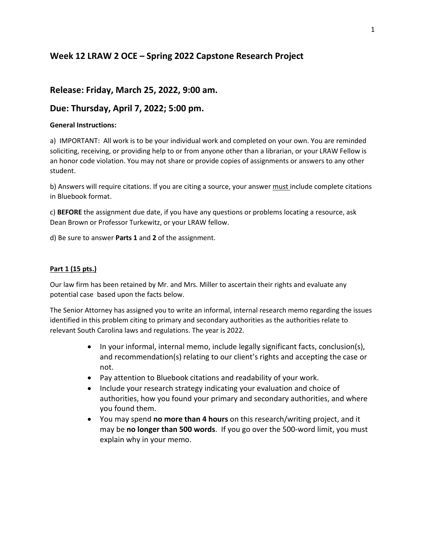#### **Week 12 LRAW 2 OCE – Spring 2022 Capstone Research Project**

#### **Release: Friday, March 25, 2022, 9:00 am.**

#### **Due: Thursday, April 7, 2022; 5:00 pm.**

#### **General Instructions:**

a) IMPORTANT: All work is to be your individual work and completed on your own. You are reminded soliciting, receiving, or providing help to or from anyone other than a librarian, or your LRAW Fellow is an honor code violation. You may not share or provide copies of assignments or answers to any other student.

b) Answers will require citations. If you are citing a source, your answer must include complete citations in Bluebook format.

c) **BEFORE** the assignment due date, if you have any questions or problems locating a resource, ask Dean Brown or Professor Turkewitz, or your LRAW fellow.

d) Be sure to answer **Parts 1** and **2** of the assignment.

#### **Part 1 (15 pts.)**

Our law firm has been retained by Mr. and Mrs. Miller to ascertain their rights and evaluate any potential case based upon the facts below.

The Senior Attorney has assigned you to write an informal, internal research memo regarding the issues identified in this problem citing to primary and secondary authorities as the authorities relate to relevant South Carolina laws and regulations. The year is 2022.

- In your informal, internal memo, include legally significant facts, conclusion(s), and recommendation(s) relating to our client's rights and accepting the case or not.
- Pay attention to Bluebook citations and readability of your work.
- Include your research strategy indicating your evaluation and choice of authorities, how you found your primary and secondary authorities, and where you found them.
- You may spend **no more than 4 hours** on this research/writing project, and it may be **no longer than 500 words**. If you go over the 500-word limit, you must explain why in your memo.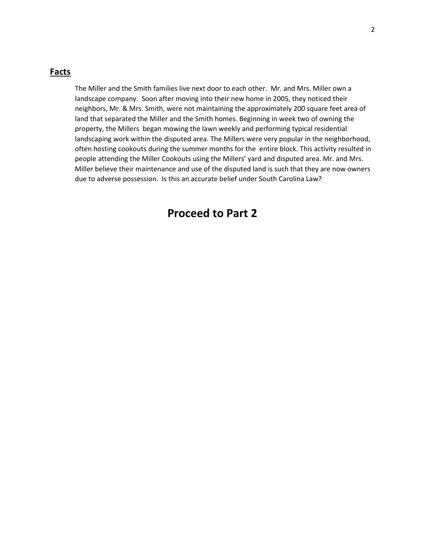#### **Facts**

The Miller and the Smith families live next door to each other. Mr. and Mrs. Miller own a landscape company. Soon after moving into their new home in 2005, they noticed their neighbors, Mr. & Mrs. Smith, were not maintaining the approximately 200 square feet area of land that separated the Miller and the Smith homes. Beginning in week two of owning the property, the Millers began mowing the lawn weekly and performing typical residential landscaping work within the disputed area. The Millers were very popular in the neighborhood, often hosting cookouts during the summer months for the entire block. This activity resulted in people attending the Miller Cookouts using the Millers' yard and disputed area. Mr. and Mrs. Miller believe their maintenance and use of the disputed land is such that they are now owners due to adverse possession. Is this an accurate belief under South Carolina Law?

#### **Proceed to Part 2**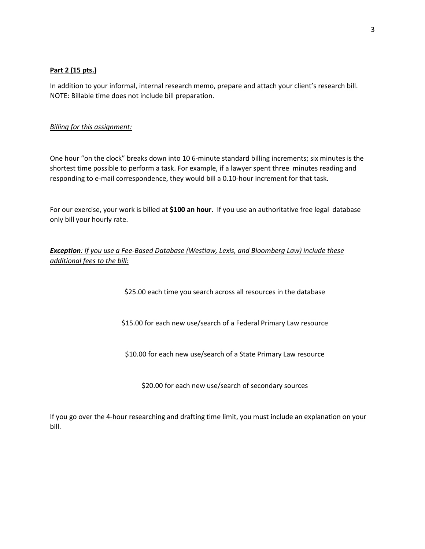#### **Part 2 (15 pts.)**

In addition to your informal, internal research memo, prepare and attach your client's research bill. NOTE: Billable time does not include bill preparation.

#### *Billing for this assignment:*

One hour "on the clock" breaks down into 10 6-minute standard billing increments; six minutes is the shortest time possible to perform a task. For example, if a lawyer spent three minutes reading and responding to e-mail correspondence, they would bill a 0.10-hour increment for that task.

For our exercise, your work is billed at **\$100 an hour**. If you use an authoritative free legal database only bill your hourly rate.

#### *Exception: If you use a Fee-Based Database (Westlaw, Lexis, and Bloomberg Law) include these additional fees to the bill:*

\$25.00 each time you search across all resources in the database

\$15.00 for each new use/search of a Federal Primary Law resource

\$10.00 for each new use/search of a State Primary Law resource

\$20.00 for each new use/search of secondary sources

If you go over the 4-hour researching and drafting time limit, you must include an explanation on your bill.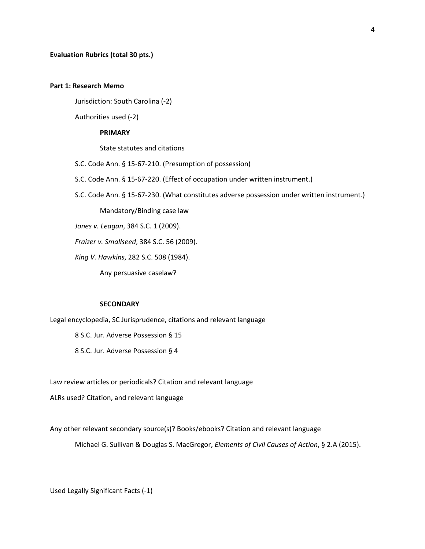#### **Part 1: Research Memo**

Jurisdiction: South Carolina (-2)

Authorities used (-2)

#### **PRIMARY**

State statutes and citations

S.C. Code Ann. § 15-67-210. (Presumption of possession)

S.C. Code Ann. § 15-67-220. (Effect of occupation under written instrument.)

S.C. Code Ann. § 15-67-230. (What constitutes adverse possession under written instrument.)

Mandatory/Binding case law

*Jones v. Leagan*, 384 S.C. 1 (2009).

*Fraizer v. Smallseed*, 384 S.C. 56 (2009).

*King V. Hawkins*, 282 S.C. 508 (1984).

Any persuasive caselaw?

#### **SECONDARY**

Legal encyclopedia, SC Jurisprudence, citations and relevant language

8 S.C. Jur. Adverse Possession § 15

8 S.C. Jur. Adverse Possession § 4

Law review articles or periodicals? Citation and relevant language

ALRs used? Citation, and relevant language

Any other relevant secondary source(s)? Books/ebooks? Citation and relevant language

Michael G. Sullivan & Douglas S. MacGregor, *Elements of Civil Causes of Action*, § 2.A (2015).

Used Legally Significant Facts (-1)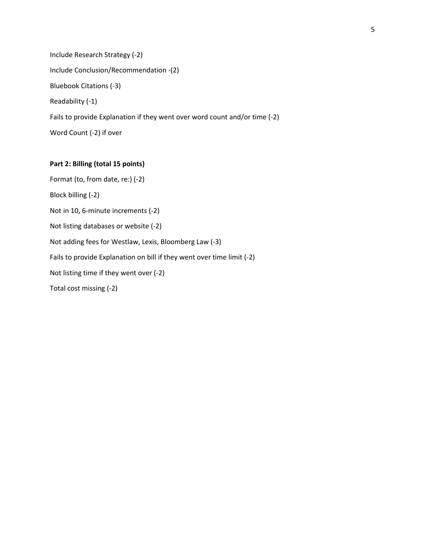Include Research Strategy (-2) Include Conclusion/Recommendation -(2) Bluebook Citations (-3) Readability (-1) Fails to provide Explanation if they went over word count and/or time (-2) Word Count (-2) if over

#### **Part 2: Billing (total 15 points)**

Format (to, from date, re:) (-2) Block billing (-2) Not in 10, 6-minute increments (-2) Not listing databases or website (-2) Not adding fees for Westlaw, Lexis, Bloomberg Law (-3) Fails to provide Explanation on bill if they went over time limit (-2) Not listing time if they went over (-2) Total cost missing (-2)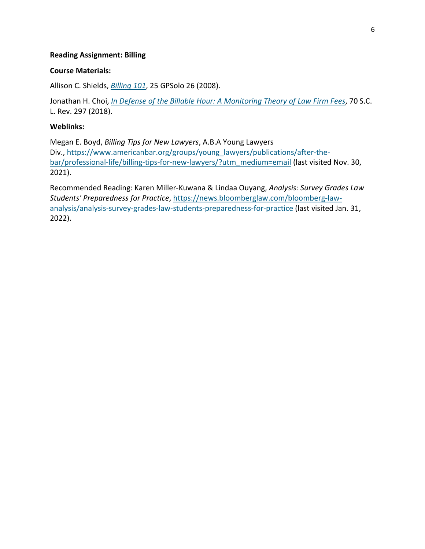#### **Reading Assignment: Billing**

#### **Course Materials:**

Allison C. Shields, *[Billing 101](https://lawschool.westlaw.com/shared/westlawredirect.aspx?task=km&WestlawPath=www.westlaw.com/Find/default.wl?rs=kmfw2.8&vr=2.0&kmvr=2.6&FindType=Y&DB=0129183&serialnum=0335851712)*, 25 GPSolo 26 (2008).

Jonathan H. Choi, *[In Defense of the Billable Hour: A Monitoring Theory of Law Firm Fees](https://lawschool.westlaw.com/shared/westlawredirect.aspx?task=km&WestlawPath=www.westlaw.com/Find/default.wl?rs=kmfw2.8&vr=2.0&kmvr=2.6&FindType=Y&DB=0001227&serialnum=0478186688)*, 70 S.C. L. Rev. 297 (2018).

#### **Weblinks:**

Megan E. Boyd, *Billing Tips for New Lawyers*, A.B.A Young Lawyers Div., [https://www.americanbar.org/groups/young\\_lawyers/publications/after-the](https://www.americanbar.org/groups/young_lawyers/publications/after-the-bar/professional-life/billing-tips-for-new-lawyers/?utm_medium=email)[bar/professional-life/billing-tips-for-new-lawyers/?utm\\_medium=email](https://www.americanbar.org/groups/young_lawyers/publications/after-the-bar/professional-life/billing-tips-for-new-lawyers/?utm_medium=email) (last visited Nov. 30, 2021).

Recommended Reading: Karen Miller-Kuwana & Lindaa Ouyang, *Analysis: Survey Grades Law Students' Preparedness for Practice*, [https://news.bloomberglaw.com/bloomberg-law](https://news.bloomberglaw.com/bloomberg-law-analysis/analysis-survey-grades-law-students-preparedness-for-practice)[analysis/analysis-survey-grades-law-students-preparedness-for-practice](https://news.bloomberglaw.com/bloomberg-law-analysis/analysis-survey-grades-law-students-preparedness-for-practice) (last visited Jan. 31, 2022).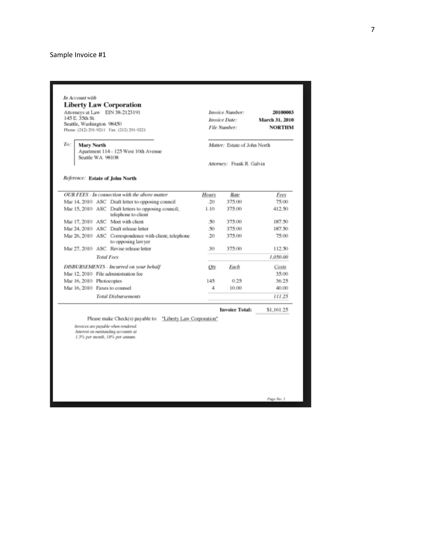#### Sample Invoice #1

| <b>Liberty Law Corporation</b><br>Attorneys at Law EIN 38-2123191<br>145 E. 35th St.<br>Seattle, Washington 98450<br>Phone: (212) 291-9211 Fax: (212) 291-9221 |                          | Invoice Number:<br>Invoice Date:<br>File Number:                             |                                                           | 20100003<br>March 31, 2010<br><b>NORTHM</b> |               |  |  |
|----------------------------------------------------------------------------------------------------------------------------------------------------------------|--------------------------|------------------------------------------------------------------------------|-----------------------------------------------------------|---------------------------------------------|---------------|--|--|
| To:<br><b>Mary North</b><br>Apartment 114 - 125 West 10th Avenue<br>Seattle WA 98108                                                                           |                          |                                                                              | Matter: Estate of John North<br>Attorney: Frank R. Galvin |                                             |               |  |  |
|                                                                                                                                                                |                          |                                                                              |                                                           |                                             |               |  |  |
|                                                                                                                                                                |                          | OUR FEES - In connection with the above matter                               |                                                           |                                             |               |  |  |
|                                                                                                                                                                |                          | Mar 14, 2010 ASC Draft letter to opposing council                            | Hours<br>.20                                              | Rate<br>375.00                              | Fees<br>75.00 |  |  |
|                                                                                                                                                                |                          | Mar 15, 2010 ASC Draft letters to opposing council;<br>telephone to client   | 1.10                                                      | 375.00                                      | 412.50        |  |  |
|                                                                                                                                                                |                          | Mar 17, 2010 ASC Meet with client                                            | -50                                                       | 375.00                                      | 187.50        |  |  |
|                                                                                                                                                                |                          | Mar 24, 2010 ASC Draft release letter                                        | 50                                                        | 375.00                                      | 187.50        |  |  |
|                                                                                                                                                                |                          | Mar 26, 2010 ASC Correspondence with client; telephone<br>to opposing lawyer | 20                                                        | 375.00                                      | 75.00         |  |  |
|                                                                                                                                                                |                          | Mar 27, 2010 ASC Revise release letter                                       | 30                                                        | 375.00                                      | 112.50        |  |  |
|                                                                                                                                                                | <b>Total Fees</b>        |                                                                              |                                                           |                                             | 1.050.00      |  |  |
|                                                                                                                                                                |                          | DISBURSEMENTS - Incurred on your behalf                                      | Otv                                                       | Each                                        | Costs         |  |  |
|                                                                                                                                                                |                          | Mar 12, 2010 File administration fee                                         |                                                           |                                             | 35.00         |  |  |
|                                                                                                                                                                | Mar 16, 2010 Photocopies |                                                                              | 145                                                       | 0.25                                        | 36.25         |  |  |
|                                                                                                                                                                |                          |                                                                              | 4                                                         | 10.00                                       | 40.00         |  |  |
|                                                                                                                                                                |                          |                                                                              |                                                           |                                             | 111.25        |  |  |
| Mar 16, 2010 Faxes to counsel                                                                                                                                  |                          | <b>Total Disbursements</b>                                                   |                                                           |                                             |               |  |  |

Invoices are payable when rendered.<br>Interest on outstanding accounts at<br>1.5% per month, 18% per annum.

Page No. 1